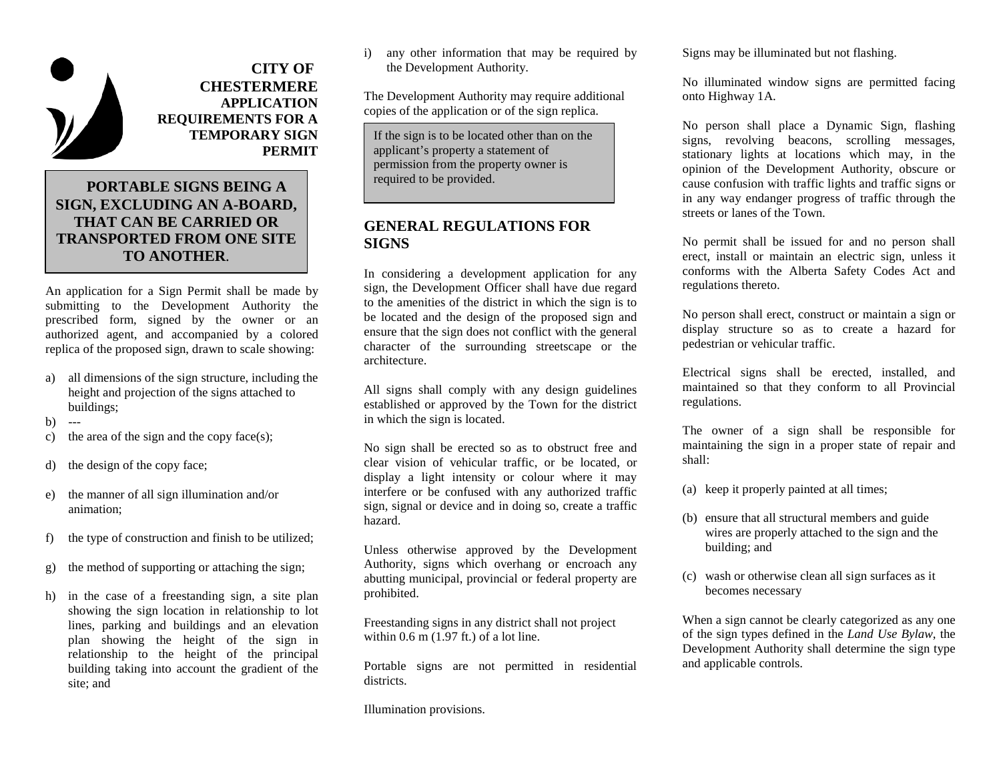

**PERMIT TEMPORARY SIGN REQUIREMENTS FOR A APPLICATION CHESTERMERE CITY OF** 

# **TO ANOTHER**. **TRANSPORTED FROM ONE SITE THAT CAN BE CARRIED OR SIGN, EXCLUDING AN A-BOARD, PORTABLE SIGNS BEING A**

An application for a Sign Permit shall be made by submitting to the Development Authority the prescribed form, signed by the owner or an authorized agent, and accompanied by a colored replica of the proposed sign, drawn to scale showing:

- a) all dimensions of the sign structure, including the height and projection of the signs attached to buildings;
- $b)$  ---
- c) the area of the sign and the copy face(s);
- d) the design of the copy face;
- e) the manner of all sign illumination and/or animation;
- f) the type of construction and finish to be utilized;
- g) the method of supporting or attaching the sign;
- h) in the case of a freestanding sign, a site plan showing the sign location in relationship to lot lines, parking and buildings and an elevation plan showing the height of the sign in relationship to the height of the principal building taking into account the gradient of the site; and

i) any other information that may be required by the Development Authority.

The Development Authority may require additional copies of the application or of the sign replica.

If the sign is to be located other than on the applicant's property a statement of permission from the property owner is required to be provided.

### **GENERAL REGULATIONS FOR SIGNS**

In considering a development application for any sign, the Development Officer shall have due regard to the amenities of the district in which the sign is to be located and the design of the proposed sign and ensure that the sign does not conflict with the general character of the surrounding streetscape or the architecture.

All signs shall comply with any design guidelines established or approved by the Town for the district in which the sign is located.

No sign shall be erected so as to obstruct free and clear vision of vehicular traffic, or be located, or display a light intensity or colour where it may interfere or be confused with any authorized traffic sign, signal or device and in doing so, create a traffic hazard.

Unless otherwise approved by the Development Authority, signs which overhang or encroach any abutting municipal, provincial or federal property are prohibited.

Freestanding signs in any district shall not project within  $0.6$  m  $(1.97 \text{ ft.})$  of a lot line.

Portable signs are not permitted in residential districts.

Illumination provisions.

Signs may be illuminated but not flashing.

No illuminated window signs are permitted facing onto Highway 1A.

No person shall place a Dynamic Sign, flashing signs, revolving beacons, scrolling messages, stationary lights at locations which may, in the opinion of the Development Authority, obscure or cause confusion with traffic lights and traffic signs or in any way endanger progress of traffic through the streets or lanes of the Town.

No permit shall be issued for and no person shall erect, install or maintain an electric sign, unless it conforms with the Alberta Safety Codes Act and regulations thereto.

No person shall erect, construct or maintain a sign or display structure so as to create a hazard for pedestrian or vehicular traffic.

Electrical signs shall be erected, installed, and maintained so that they conform to all Provincial regulations.

The owner of a sign shall be responsible for maintaining the sign in a proper state of repair and shall:

- (a) keep it properly painted at all times;
- (b) ensure that all structural members and guide wires are properly attached to the sign and the building; and
- (c) wash or otherwise clean all sign surfaces as it becomes necessary

When a sign cannot be clearly categorized as any one of the sign types defined in the *Land Use Bylaw*, the Development Authority shall determine the sign type and applicable controls.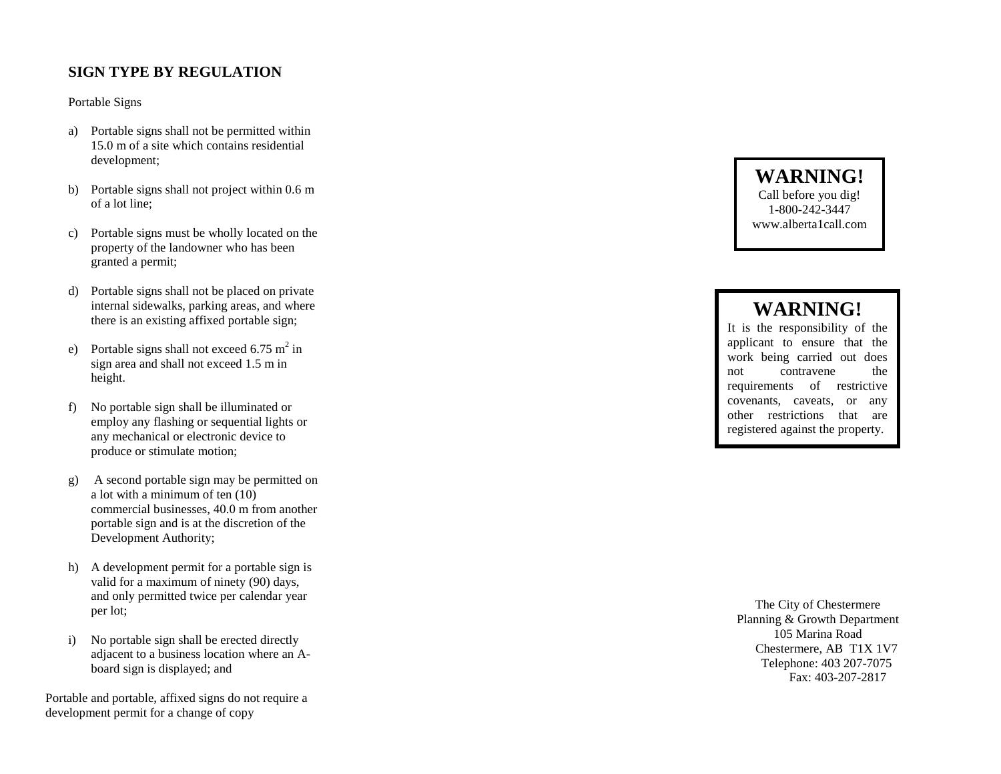# **SIGN TYPE BY REGULATION**

#### Portable Signs

- development; 15.0 m of a site which contains residential a) Portable signs shall not be permitted within
- of a lot line; b) Portable signs shall not project within 0.6 m
- granted a permit; property of the landowner who has been c) Portable signs must be wholly located on the
- there is an existing affixed portable sign; internal sidewalks, parking areas, and where d) Portable signs shall not be placed on private
- height. sign area and shall not exceed 1.5 m in e) Portable signs shall not exceed 6.75 m<sup>2</sup> in
- produce or stimulate motion; any mechanical or electronic device to employ any flashing or sequential lights or f) No portable sign shall be illuminated or
- Development Authority; portable sign and is at the discretion of the commercial businesses, 40.0 m from another a lot with a minimum of ten (10) g) A second portable sign may be permitted on
- per lot; and only permitted twice per calendar year valid for a maximum of ninety (90) days, h) A development permit for a portable sign is
- board sign is displayed; and adjacent to a business location where an Ai) No portable sign shall be erected directly

development permit for a change of copy Portable and portable, affixed signs do not require a

**WARNING!** Call before you dig! 1-800-242-3447 www.alberta1call.com

# **WARNING!**

It is the responsibility of the applicant to ensure that the work being carried out does not contravene the requirements of restrictive covenants, caveats, or any other restrictions that are registered against the property.

Fax: 403-207-2817 Telephone: 403 207-7075 Chestermere, AB T1X 1V7 105 Marina Road Planning & Growth Department The City of Chestermere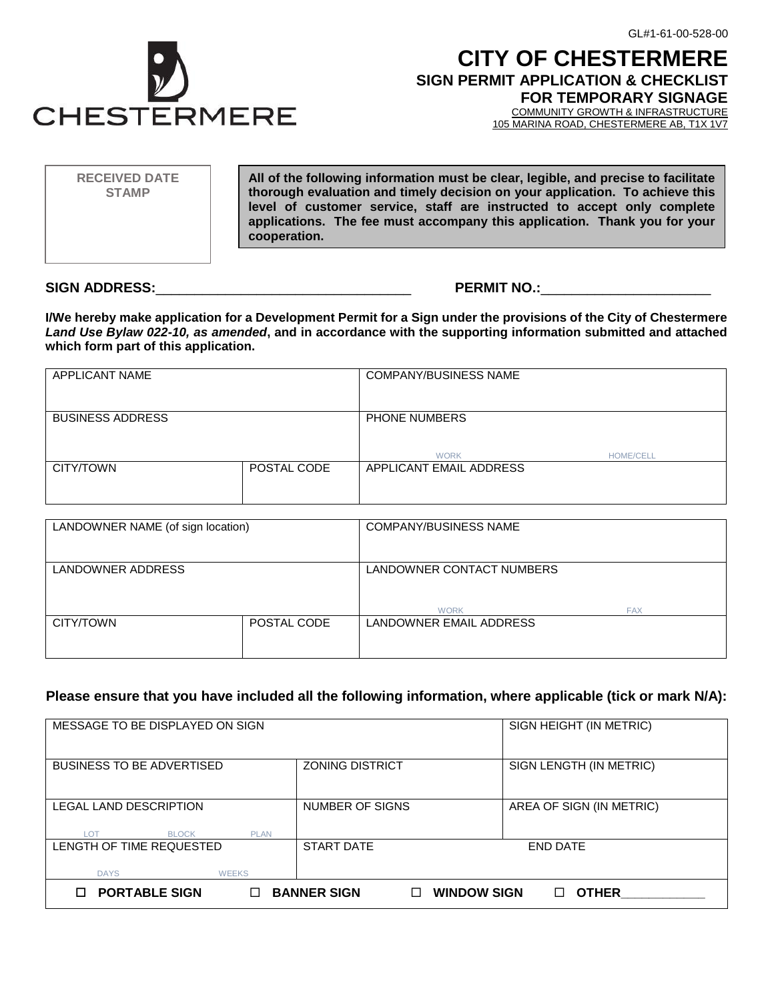

# **CITY OF CHESTERMERE SIGN PERMIT APPLICATION & CHECKLIST**

**FOR TEMPORARY SIGNAGE**

COMMUNITY GROWTH & INFRASTRUCTURE 105 MARINA ROAD, CHESTERMERE AB, T1X 1V7

**All of the following information must be clear, legible, and precise to facilitate thorough evaluation and timely decision on your application. To achieve this level of customer service, staff are instructed to accept only complete applications. The fee must accompany this application. Thank you for your cooperation. RECEIVED DATE STAMP**

**SIGN ADDRESS:**\_\_\_\_\_\_\_\_\_\_\_\_\_\_\_\_\_\_\_\_\_\_\_\_\_\_\_\_\_\_\_\_\_ **PERMIT NO.:**\_\_\_\_\_\_\_\_\_\_\_\_\_\_\_\_\_\_\_\_\_\_

Glass Communication

**I/We hereby make application for a Development Permit for a Sign under the provisions of the City of Chestermere**  *Land Use Bylaw 022-10, as amended***, and in accordance with the supporting information submitted and attached which form part of this application.**

| APPLICANT NAME          |             | <b>COMPANY/BUSINESS NAME</b> |                  |
|-------------------------|-------------|------------------------------|------------------|
| <b>BUSINESS ADDRESS</b> |             | PHONE NUMBERS                |                  |
|                         |             | <b>WORK</b>                  | <b>HOME/CELL</b> |
| CITY/TOWN               | POSTAL CODE | APPLICANT EMAIL ADDRESS      |                  |
|                         |             |                              |                  |

| LANDOWNER NAME (of sign location) |             | <b>COMPANY/BUSINESS NAME</b>                         |  |
|-----------------------------------|-------------|------------------------------------------------------|--|
| LANDOWNER ADDRESS                 |             | LANDOWNER CONTACT NUMBERS                            |  |
| CITY/TOWN                         | POSTAL CODE | <b>WORK</b><br><b>FAX</b><br>LANDOWNER EMAIL ADDRESS |  |
|                                   |             |                                                      |  |

### **Please ensure that you have included all the following information, where applicable (tick or mark N/A):**

| MESSAGE TO BE DISPLAYED ON SIGN                              | SIGN HEIGHT (IN METRIC)                  |                          |
|--------------------------------------------------------------|------------------------------------------|--------------------------|
| <b>BUSINESS TO BE ADVERTISED</b>                             | <b>ZONING DISTRICT</b>                   | SIGN LENGTH (IN METRIC)  |
| LEGAL LAND DESCRIPTION<br><b>BLOCK</b><br>LOT<br><b>PLAN</b> | NUMBER OF SIGNS                          | AREA OF SIGN (IN METRIC) |
| LENGTH OF TIME REQUESTED<br><b>DAYS</b><br><b>WEEKS</b>      | <b>START DATE</b>                        | <b>END DATE</b>          |
| <b>PORTABLE SIGN</b><br>П                                    | <b>BANNER SIGN</b><br><b>WINDOW SIGN</b> | <b>OTHER</b>             |